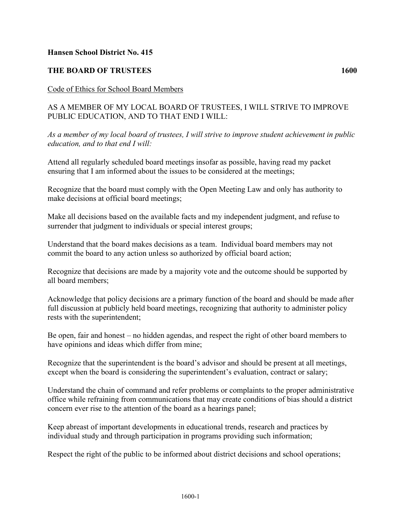## **Hansen School District No. 415**

## **THE BOARD OF TRUSTEES 1600**

## Code of Ethics for School Board Members

## AS A MEMBER OF MY LOCAL BOARD OF TRUSTEES, I WILL STRIVE TO IMPROVE PUBLIC EDUCATION, AND TO THAT END I WILL:

*As a member of my local board of trustees, I will strive to improve student achievement in public education, and to that end I will:*

Attend all regularly scheduled board meetings insofar as possible, having read my packet ensuring that I am informed about the issues to be considered at the meetings;

Recognize that the board must comply with the Open Meeting Law and only has authority to make decisions at official board meetings;

Make all decisions based on the available facts and my independent judgment, and refuse to surrender that judgment to individuals or special interest groups;

Understand that the board makes decisions as a team. Individual board members may not commit the board to any action unless so authorized by official board action;

Recognize that decisions are made by a majority vote and the outcome should be supported by all board members;

Acknowledge that policy decisions are a primary function of the board and should be made after full discussion at publicly held board meetings, recognizing that authority to administer policy rests with the superintendent;

Be open, fair and honest – no hidden agendas, and respect the right of other board members to have opinions and ideas which differ from mine;

Recognize that the superintendent is the board's advisor and should be present at all meetings, except when the board is considering the superintendent's evaluation, contract or salary;

Understand the chain of command and refer problems or complaints to the proper administrative office while refraining from communications that may create conditions of bias should a district concern ever rise to the attention of the board as a hearings panel;

Keep abreast of important developments in educational trends, research and practices by individual study and through participation in programs providing such information;

Respect the right of the public to be informed about district decisions and school operations;